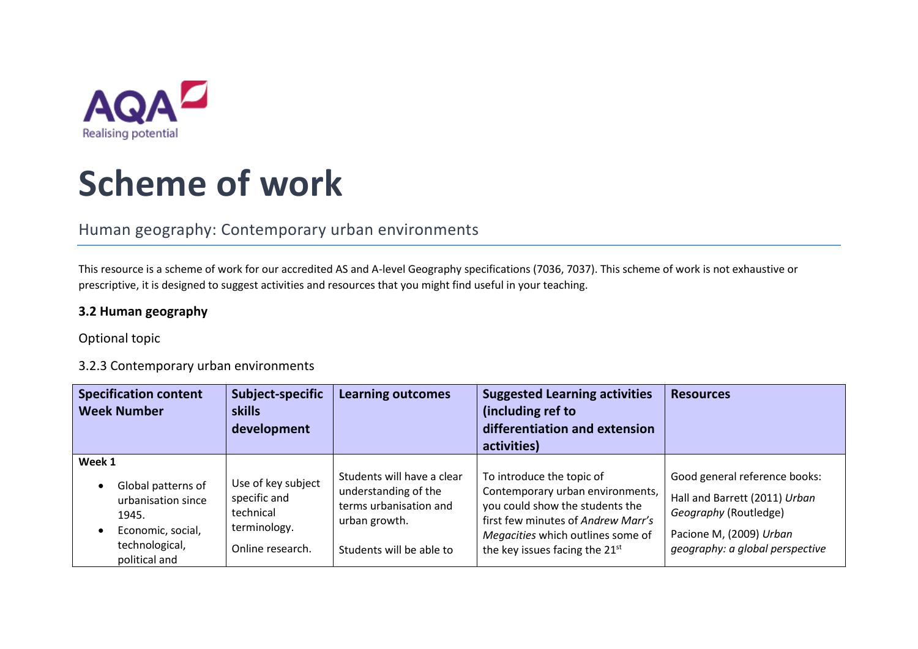

# **Scheme of work**

# Human geography: Contemporary urban environments

This resource is a scheme of work for our accredited AS and A-level Geography specifications (7036, 7037). This scheme of work is not exhaustive or prescriptive, it is designed to suggest activities and resources that you might find useful in your teaching.

## **3.2 Human geography**

### Optional topic

### 3.2.3 Contemporary urban environments

| <b>Specification content</b><br><b>Week Number</b>                                                                  | Subject-specific<br><b>skills</b><br>development                                    | <b>Learning outcomes</b>                                                                                                  | <b>Suggested Learning activities</b><br>(including ref to<br>differentiation and extension<br>activities)                                                                                                                 | <b>Resources</b>                                                                                                                                      |
|---------------------------------------------------------------------------------------------------------------------|-------------------------------------------------------------------------------------|---------------------------------------------------------------------------------------------------------------------------|---------------------------------------------------------------------------------------------------------------------------------------------------------------------------------------------------------------------------|-------------------------------------------------------------------------------------------------------------------------------------------------------|
| Week 1<br>Global patterns of<br>urbanisation since<br>1945.<br>Economic, social,<br>technological,<br>political and | Use of key subject<br>specific and<br>technical<br>terminology.<br>Online research. | Students will have a clear<br>understanding of the<br>terms urbanisation and<br>urban growth.<br>Students will be able to | To introduce the topic of<br>Contemporary urban environments,<br>you could show the students the<br>first few minutes of Andrew Marr's<br>Megacities which outlines some of<br>the key issues facing the 21 <sup>st</sup> | Good general reference books:<br>Hall and Barrett (2011) Urban<br>Geography (Routledge)<br>Pacione M, (2009) Urban<br>geography: a global perspective |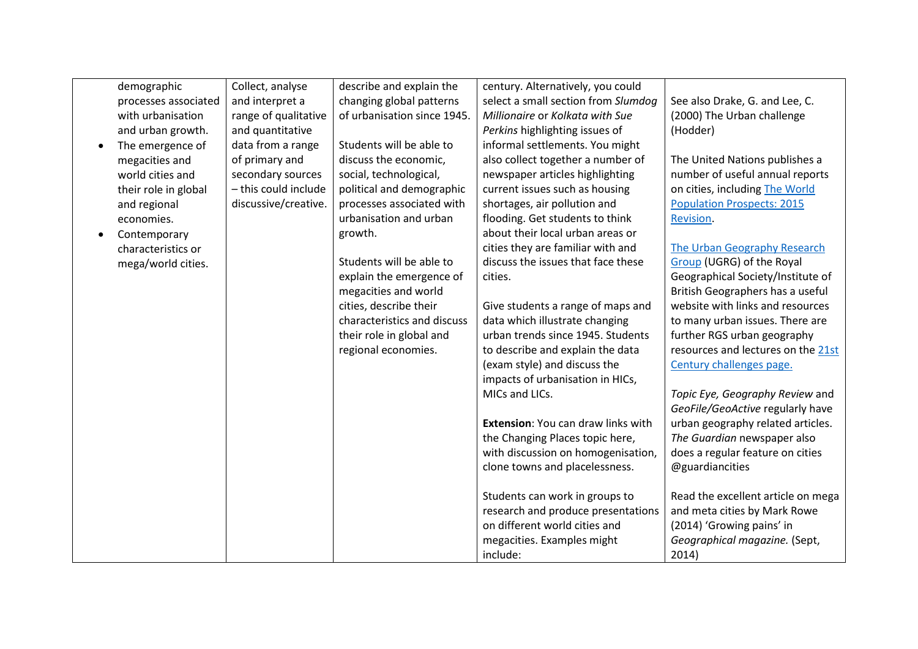|           | demographic          | Collect, analyse     | describe and explain the    | century. Alternatively, you could   |                                    |
|-----------|----------------------|----------------------|-----------------------------|-------------------------------------|------------------------------------|
|           | processes associated | and interpret a      | changing global patterns    | select a small section from Slumdog | See also Drake, G. and Lee, C.     |
|           | with urbanisation    | range of qualitative | of urbanisation since 1945. | Millionaire or Kolkata with Sue     | (2000) The Urban challenge         |
|           | and urban growth.    | and quantitative     |                             | Perkins highlighting issues of      | (Hodder)                           |
| $\bullet$ | The emergence of     | data from a range    | Students will be able to    | informal settlements. You might     |                                    |
|           | megacities and       | of primary and       | discuss the economic,       | also collect together a number of   | The United Nations publishes a     |
|           | world cities and     | secondary sources    | social, technological,      | newspaper articles highlighting     | number of useful annual reports    |
|           | their role in global | - this could include | political and demographic   | current issues such as housing      | on cities, including The World     |
|           | and regional         | discussive/creative. | processes associated with   | shortages, air pollution and        | <b>Population Prospects: 2015</b>  |
|           | economies.           |                      | urbanisation and urban      | flooding. Get students to think     | Revision.                          |
|           | Contemporary         |                      | growth.                     | about their local urban areas or    |                                    |
|           | characteristics or   |                      |                             | cities they are familiar with and   | The Urban Geography Research       |
|           | mega/world cities.   |                      | Students will be able to    | discuss the issues that face these  | Group (UGRG) of the Royal          |
|           |                      |                      | explain the emergence of    | cities.                             | Geographical Society/Institute of  |
|           |                      |                      | megacities and world        |                                     | British Geographers has a useful   |
|           |                      |                      | cities, describe their      | Give students a range of maps and   | website with links and resources   |
|           |                      |                      | characteristics and discuss | data which illustrate changing      | to many urban issues. There are    |
|           |                      |                      | their role in global and    | urban trends since 1945. Students   | further RGS urban geography        |
|           |                      |                      | regional economies.         | to describe and explain the data    | resources and lectures on the 21st |
|           |                      |                      |                             | (exam style) and discuss the        | Century challenges page.           |
|           |                      |                      |                             | impacts of urbanisation in HICs,    |                                    |
|           |                      |                      |                             | MICs and LICs.                      | Topic Eye, Geography Review and    |
|           |                      |                      |                             |                                     | GeoFile/GeoActive regularly have   |
|           |                      |                      |                             | Extension: You can draw links with  | urban geography related articles.  |
|           |                      |                      |                             | the Changing Places topic here,     | The Guardian newspaper also        |
|           |                      |                      |                             | with discussion on homogenisation,  | does a regular feature on cities   |
|           |                      |                      |                             | clone towns and placelessness.      | @guardiancities                    |
|           |                      |                      |                             |                                     |                                    |
|           |                      |                      |                             | Students can work in groups to      | Read the excellent article on mega |
|           |                      |                      |                             | research and produce presentations  | and meta cities by Mark Rowe       |
|           |                      |                      |                             | on different world cities and       | (2014) 'Growing pains' in          |
|           |                      |                      |                             | megacities. Examples might          | Geographical magazine. (Sept,      |
|           |                      |                      |                             | include:                            | 2014)                              |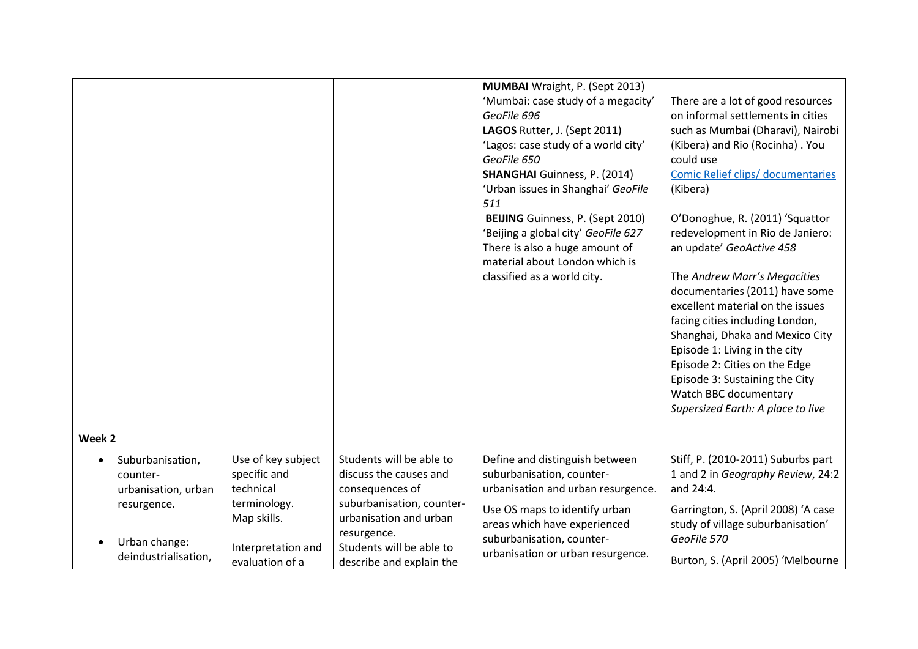|                                           |                                       |                                                                    | <b>MUMBAI</b> Wraight, P. (Sept 2013)<br>'Mumbai: case study of a megacity'<br>GeoFile 696<br>LAGOS Rutter, J. (Sept 2011)<br>'Lagos: case study of a world city'<br>GeoFile 650<br><b>SHANGHAI</b> Guinness, P. (2014)<br>'Urban issues in Shanghai' GeoFile<br>511<br><b>BEIJING</b> Guinness, P. (Sept 2010)<br>'Beijing a global city' GeoFile 627<br>There is also a huge amount of<br>material about London which is<br>classified as a world city. | There are a lot of good resources<br>on informal settlements in cities<br>such as Mumbai (Dharavi), Nairobi<br>(Kibera) and Rio (Rocinha). You<br>could use<br>Comic Relief clips/ documentaries<br>(Kibera)<br>O'Donoghue, R. (2011) 'Squattor<br>redevelopment in Rio de Janiero:<br>an update' GeoActive 458<br>The Andrew Marr's Megacities<br>documentaries (2011) have some<br>excellent material on the issues<br>facing cities including London,<br>Shanghai, Dhaka and Mexico City<br>Episode 1: Living in the city<br>Episode 2: Cities on the Edge<br>Episode 3: Sustaining the City<br>Watch BBC documentary<br>Supersized Earth: A place to live |
|-------------------------------------------|---------------------------------------|--------------------------------------------------------------------|-----------------------------------------------------------------------------------------------------------------------------------------------------------------------------------------------------------------------------------------------------------------------------------------------------------------------------------------------------------------------------------------------------------------------------------------------------------|---------------------------------------------------------------------------------------------------------------------------------------------------------------------------------------------------------------------------------------------------------------------------------------------------------------------------------------------------------------------------------------------------------------------------------------------------------------------------------------------------------------------------------------------------------------------------------------------------------------------------------------------------------------|
| Week <sub>2</sub><br>Suburbanisation,     | Use of key subject                    | Students will be able to                                           | Define and distinguish between                                                                                                                                                                                                                                                                                                                                                                                                                            | Stiff, P. (2010-2011) Suburbs part                                                                                                                                                                                                                                                                                                                                                                                                                                                                                                                                                                                                                            |
| counter-<br>urbanisation, urban           | specific and<br>technical             | discuss the causes and<br>consequences of                          | suburbanisation, counter-<br>urbanisation and urban resurgence.                                                                                                                                                                                                                                                                                                                                                                                           | 1 and 2 in Geography Review, 24:2<br>and 24:4.                                                                                                                                                                                                                                                                                                                                                                                                                                                                                                                                                                                                                |
| resurgence.<br>Urban change:<br>$\bullet$ | terminology.<br>Map skills.           | suburbanisation, counter-<br>urbanisation and urban<br>resurgence. | Use OS maps to identify urban<br>areas which have experienced<br>suburbanisation, counter-                                                                                                                                                                                                                                                                                                                                                                | Garrington, S. (April 2008) 'A case<br>study of village suburbanisation'<br>GeoFile 570                                                                                                                                                                                                                                                                                                                                                                                                                                                                                                                                                                       |
| deindustrialisation,                      | Interpretation and<br>evaluation of a | Students will be able to<br>describe and explain the               | urbanisation or urban resurgence.                                                                                                                                                                                                                                                                                                                                                                                                                         | Burton, S. (April 2005) 'Melbourne                                                                                                                                                                                                                                                                                                                                                                                                                                                                                                                                                                                                                            |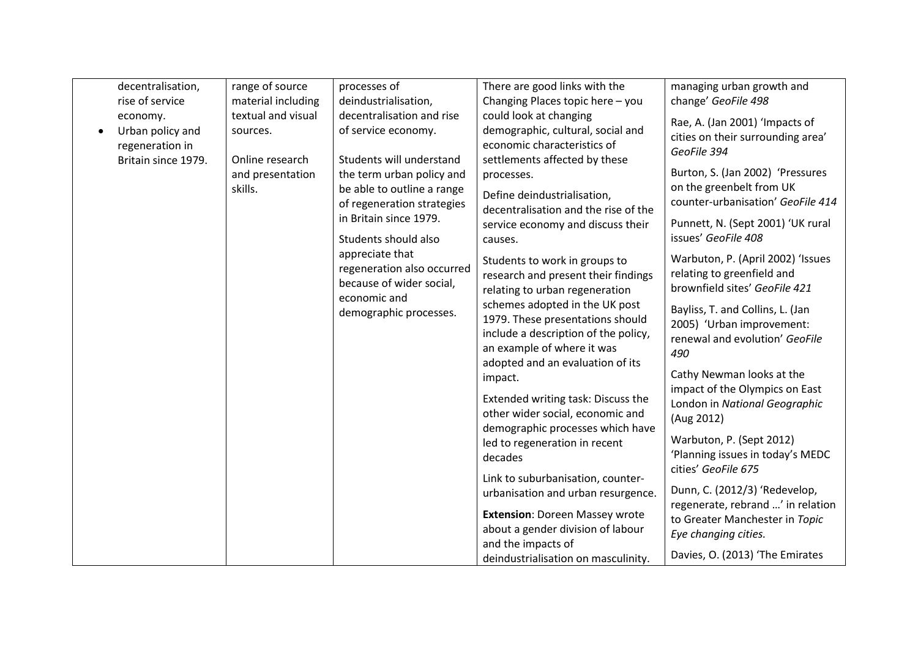| decentralisation,   | range of source    | processes of               | There are good links with the         | managing urban growth and                               |
|---------------------|--------------------|----------------------------|---------------------------------------|---------------------------------------------------------|
| rise of service     | material including | deindustrialisation,       | Changing Places topic here - you      | change' GeoFile 498                                     |
| economy.            | textual and visual | decentralisation and rise  | could look at changing                |                                                         |
| Urban policy and    | sources.           | of service economy.        | demographic, cultural, social and     | Rae, A. (Jan 2001) 'Impacts of                          |
| regeneration in     |                    |                            | economic characteristics of           | cities on their surrounding area'                       |
| Britain since 1979. | Online research    | Students will understand   | settlements affected by these         | GeoFile 394                                             |
|                     | and presentation   | the term urban policy and  | processes.                            | Burton, S. (Jan 2002) 'Pressures                        |
|                     | skills.            | be able to outline a range |                                       | on the greenbelt from UK                                |
|                     |                    | of regeneration strategies | Define deindustrialisation,           | counter-urbanisation' GeoFile 414                       |
|                     |                    | in Britain since 1979.     | decentralisation and the rise of the  |                                                         |
|                     |                    |                            | service economy and discuss their     | Punnett, N. (Sept 2001) 'UK rural                       |
|                     |                    | Students should also       | causes.                               | issues' GeoFile 408                                     |
|                     |                    | appreciate that            | Students to work in groups to         | Warbuton, P. (April 2002) 'Issues                       |
|                     |                    | regeneration also occurred | research and present their findings   | relating to greenfield and                              |
|                     |                    | because of wider social,   | relating to urban regeneration        | brownfield sites' GeoFile 421                           |
|                     |                    | economic and               | schemes adopted in the UK post        |                                                         |
|                     |                    | demographic processes.     | 1979. These presentations should      | Bayliss, T. and Collins, L. (Jan                        |
|                     |                    |                            | include a description of the policy,  | 2005) 'Urban improvement:                               |
|                     |                    |                            | an example of where it was            | renewal and evolution' GeoFile                          |
|                     |                    |                            | adopted and an evaluation of its      | 490                                                     |
|                     |                    |                            | impact.                               | Cathy Newman looks at the                               |
|                     |                    |                            |                                       | impact of the Olympics on East                          |
|                     |                    |                            | Extended writing task: Discuss the    | London in National Geographic                           |
|                     |                    |                            | other wider social, economic and      | (Aug 2012)                                              |
|                     |                    |                            | demographic processes which have      |                                                         |
|                     |                    |                            | led to regeneration in recent         | Warbuton, P. (Sept 2012)                                |
|                     |                    |                            | decades                               | 'Planning issues in today's MEDC<br>cities' GeoFile 675 |
|                     |                    |                            | Link to suburbanisation, counter-     |                                                         |
|                     |                    |                            | urbanisation and urban resurgence.    | Dunn, C. (2012/3) 'Redevelop,                           |
|                     |                    |                            |                                       | regenerate, rebrand ' in relation                       |
|                     |                    |                            | <b>Extension: Doreen Massey wrote</b> | to Greater Manchester in Topic                          |
|                     |                    |                            | about a gender division of labour     | Eye changing cities.                                    |
|                     |                    |                            | and the impacts of                    | Davies, O. (2013) 'The Emirates                         |
|                     |                    |                            | deindustrialisation on masculinity.   |                                                         |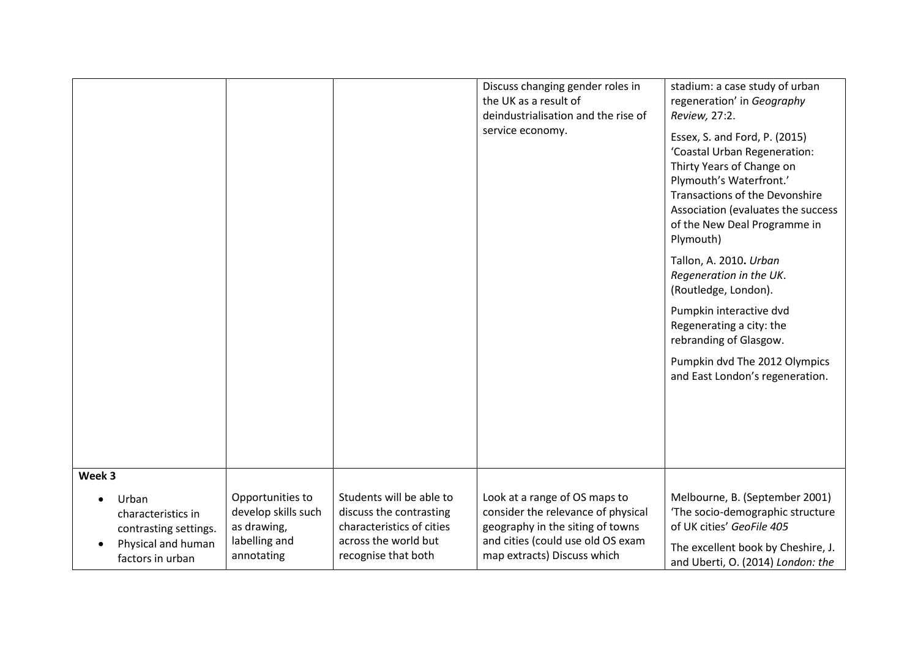|                                                      |                                                        |                                                                                  | Discuss changing gender roles in<br>the UK as a result of<br>deindustrialisation and the rise of<br>service economy. | stadium: a case study of urban<br>regeneration' in Geography<br>Review, 27:2.<br>Essex, S. and Ford, P. (2015)<br>'Coastal Urban Regeneration:<br>Thirty Years of Change on<br>Plymouth's Waterfront.'<br><b>Transactions of the Devonshire</b><br>Association (evaluates the success<br>of the New Deal Programme in<br>Plymouth)<br>Tallon, A. 2010. Urban<br>Regeneration in the UK.<br>(Routledge, London).<br>Pumpkin interactive dvd<br>Regenerating a city: the<br>rebranding of Glasgow.<br>Pumpkin dvd The 2012 Olympics<br>and East London's regeneration. |
|------------------------------------------------------|--------------------------------------------------------|----------------------------------------------------------------------------------|----------------------------------------------------------------------------------------------------------------------|----------------------------------------------------------------------------------------------------------------------------------------------------------------------------------------------------------------------------------------------------------------------------------------------------------------------------------------------------------------------------------------------------------------------------------------------------------------------------------------------------------------------------------------------------------------------|
|                                                      |                                                        |                                                                                  |                                                                                                                      |                                                                                                                                                                                                                                                                                                                                                                                                                                                                                                                                                                      |
|                                                      |                                                        |                                                                                  |                                                                                                                      |                                                                                                                                                                                                                                                                                                                                                                                                                                                                                                                                                                      |
|                                                      |                                                        |                                                                                  |                                                                                                                      |                                                                                                                                                                                                                                                                                                                                                                                                                                                                                                                                                                      |
|                                                      |                                                        |                                                                                  |                                                                                                                      |                                                                                                                                                                                                                                                                                                                                                                                                                                                                                                                                                                      |
|                                                      |                                                        |                                                                                  |                                                                                                                      |                                                                                                                                                                                                                                                                                                                                                                                                                                                                                                                                                                      |
|                                                      |                                                        |                                                                                  |                                                                                                                      |                                                                                                                                                                                                                                                                                                                                                                                                                                                                                                                                                                      |
|                                                      |                                                        |                                                                                  |                                                                                                                      |                                                                                                                                                                                                                                                                                                                                                                                                                                                                                                                                                                      |
|                                                      |                                                        |                                                                                  |                                                                                                                      |                                                                                                                                                                                                                                                                                                                                                                                                                                                                                                                                                                      |
| Week 3                                               |                                                        |                                                                                  |                                                                                                                      |                                                                                                                                                                                                                                                                                                                                                                                                                                                                                                                                                                      |
| Urban<br>characteristics in<br>contrasting settings. | Opportunities to<br>develop skills such<br>as drawing, | Students will be able to<br>discuss the contrasting<br>characteristics of cities | Look at a range of OS maps to<br>consider the relevance of physical<br>geography in the siting of towns              | Melbourne, B. (September 2001)<br>'The socio-demographic structure<br>of UK cities' GeoFile 405                                                                                                                                                                                                                                                                                                                                                                                                                                                                      |
| Physical and human<br>factors in urban               | labelling and<br>annotating                            | across the world but<br>recognise that both                                      | and cities (could use old OS exam<br>map extracts) Discuss which                                                     | The excellent book by Cheshire, J.<br>and Uberti, O. (2014) London: the                                                                                                                                                                                                                                                                                                                                                                                                                                                                                              |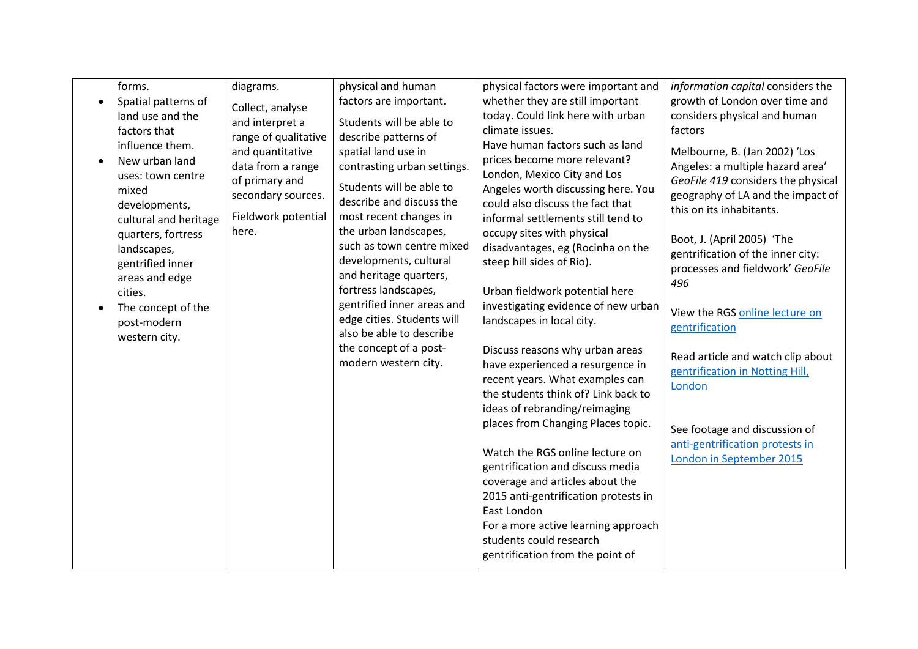| forms.                                                                                                    | diagrams.                                                                                            | physical and human                                                                                                                   | physical factors were important and                                                                                                                                                                                                                                 | information capital considers the                                                                                                                                        |
|-----------------------------------------------------------------------------------------------------------|------------------------------------------------------------------------------------------------------|--------------------------------------------------------------------------------------------------------------------------------------|---------------------------------------------------------------------------------------------------------------------------------------------------------------------------------------------------------------------------------------------------------------------|--------------------------------------------------------------------------------------------------------------------------------------------------------------------------|
| Spatial patterns of<br>land use and the<br>factors that                                                   | Collect, analyse<br>and interpret a<br>range of qualitative                                          | factors are important.<br>Students will be able to<br>describe patterns of                                                           | whether they are still important<br>today. Could link here with urban<br>climate issues.                                                                                                                                                                            | growth of London over time and<br>considers physical and human<br>factors                                                                                                |
| influence them.<br>New urban land<br>uses: town centre<br>mixed<br>developments,<br>cultural and heritage | and quantitative<br>data from a range<br>of primary and<br>secondary sources.<br>Fieldwork potential | spatial land use in<br>contrasting urban settings.<br>Students will be able to<br>describe and discuss the<br>most recent changes in | Have human factors such as land<br>prices become more relevant?<br>London, Mexico City and Los<br>Angeles worth discussing here. You<br>could also discuss the fact that<br>informal settlements still tend to                                                      | Melbourne, B. (Jan 2002) 'Los<br>Angeles: a multiple hazard area'<br>GeoFile 419 considers the physical<br>geography of LA and the impact of<br>this on its inhabitants. |
| quarters, fortress<br>landscapes,<br>gentrified inner<br>areas and edge<br>cities.                        | here.                                                                                                | the urban landscapes,<br>such as town centre mixed<br>developments, cultural<br>and heritage quarters,<br>fortress landscapes,       | occupy sites with physical<br>disadvantages, eg (Rocinha on the<br>steep hill sides of Rio).<br>Urban fieldwork potential here                                                                                                                                      | Boot, J. (April 2005) 'The<br>gentrification of the inner city:<br>processes and fieldwork' GeoFile<br>496                                                               |
| The concept of the<br>post-modern<br>western city.                                                        |                                                                                                      | gentrified inner areas and<br>edge cities. Students will<br>also be able to describe                                                 | investigating evidence of new urban<br>landscapes in local city.                                                                                                                                                                                                    | View the RGS online lecture on<br>gentrification                                                                                                                         |
|                                                                                                           |                                                                                                      | the concept of a post-<br>modern western city.                                                                                       | Discuss reasons why urban areas<br>have experienced a resurgence in<br>recent years. What examples can<br>the students think of? Link back to<br>ideas of rebranding/reimaging                                                                                      | Read article and watch clip about<br>gentrification in Notting Hill,<br>London                                                                                           |
|                                                                                                           |                                                                                                      |                                                                                                                                      | places from Changing Places topic.                                                                                                                                                                                                                                  | See footage and discussion of                                                                                                                                            |
|                                                                                                           |                                                                                                      |                                                                                                                                      | Watch the RGS online lecture on<br>gentrification and discuss media<br>coverage and articles about the<br>2015 anti-gentrification protests in<br>East London<br>For a more active learning approach<br>students could research<br>gentrification from the point of | anti-gentrification protests in<br>London in September 2015                                                                                                              |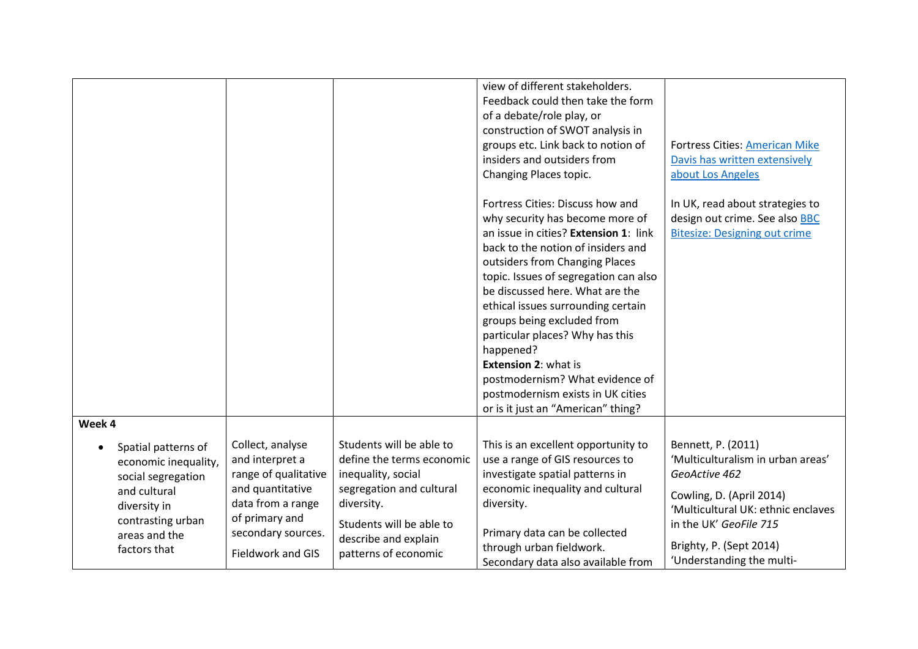|                                                               |                                                                   |                                                                                                           |                                                                                                                    | view of different stakeholders.<br>Feedback could then take the form<br>of a debate/role play, or<br>construction of SWOT analysis in<br>groups etc. Link back to notion of<br>insiders and outsiders from<br>Changing Places topic.<br>Fortress Cities: Discuss how and<br>why security has become more of<br>an issue in cities? Extension 1: link<br>back to the notion of insiders and<br>outsiders from Changing Places<br>topic. Issues of segregation can also | <b>Fortress Cities: American Mike</b><br>Davis has written extensively<br>about Los Angeles<br>In UK, read about strategies to<br>design out crime. See also BBC<br><b>Bitesize: Designing out crime</b> |
|---------------------------------------------------------------|-------------------------------------------------------------------|-----------------------------------------------------------------------------------------------------------|--------------------------------------------------------------------------------------------------------------------|-----------------------------------------------------------------------------------------------------------------------------------------------------------------------------------------------------------------------------------------------------------------------------------------------------------------------------------------------------------------------------------------------------------------------------------------------------------------------|----------------------------------------------------------------------------------------------------------------------------------------------------------------------------------------------------------|
|                                                               |                                                                   |                                                                                                           |                                                                                                                    | be discussed here. What are the<br>ethical issues surrounding certain<br>groups being excluded from<br>particular places? Why has this<br>happened?<br><b>Extension 2: what is</b><br>postmodernism? What evidence of<br>postmodernism exists in UK cities<br>or is it just an "American" thing?                                                                                                                                                                      |                                                                                                                                                                                                          |
| Week 4                                                        |                                                                   |                                                                                                           |                                                                                                                    |                                                                                                                                                                                                                                                                                                                                                                                                                                                                       |                                                                                                                                                                                                          |
|                                                               | Spatial patterns of<br>economic inequality,<br>social segregation | Collect, analyse<br>and interpret a<br>range of qualitative                                               | Students will be able to<br>define the terms economic<br>inequality, social                                        | This is an excellent opportunity to<br>use a range of GIS resources to<br>investigate spatial patterns in                                                                                                                                                                                                                                                                                                                                                             | Bennett, P. (2011)<br>'Multiculturalism in urban areas'<br>GeoActive 462                                                                                                                                 |
| and cultural<br>diversity in<br>areas and the<br>factors that | contrasting urban                                                 | and quantitative<br>data from a range<br>of primary and<br>secondary sources.<br><b>Fieldwork and GIS</b> | segregation and cultural<br>diversity.<br>Students will be able to<br>describe and explain<br>patterns of economic | economic inequality and cultural<br>diversity.<br>Primary data can be collected<br>through urban fieldwork.<br>Secondary data also available from                                                                                                                                                                                                                                                                                                                     | Cowling, D. (April 2014)<br>'Multicultural UK: ethnic enclaves<br>in the UK' GeoFile 715<br>Brighty, P. (Sept 2014)<br>'Understanding the multi-                                                         |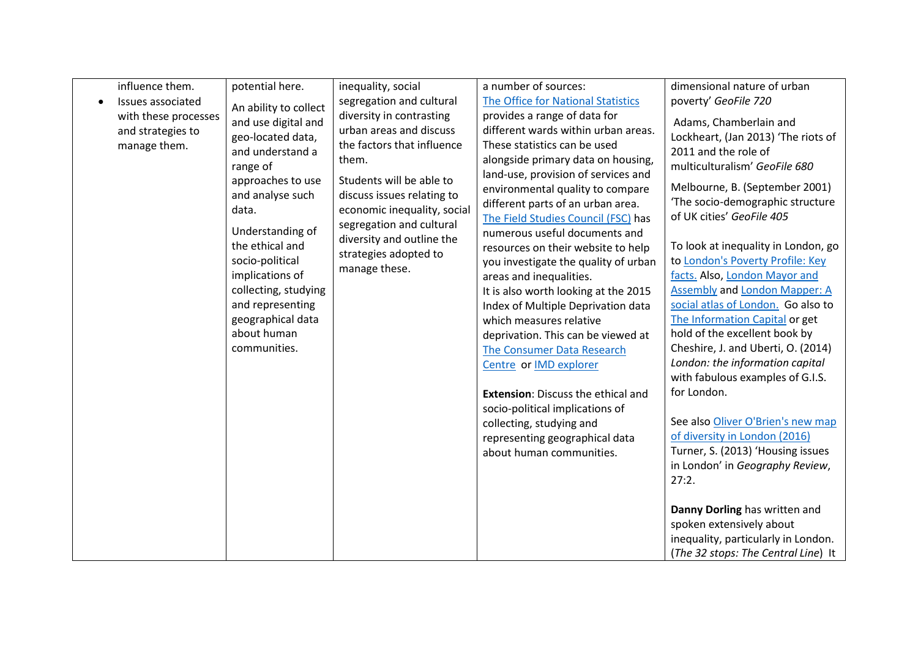| influence them.<br>Issues associated<br>with these processes<br>and strategies to<br>manage them. | potential here.<br>An ability to collect<br>and use digital and<br>geo-located data,<br>and understand a<br>range of<br>approaches to use<br>and analyse such<br>data.<br>Understanding of<br>the ethical and<br>socio-political<br>implications of<br>collecting, studying<br>and representing<br>geographical data<br>about human<br>communities. | inequality, social<br>segregation and cultural<br>diversity in contrasting<br>urban areas and discuss<br>the factors that influence<br>them.<br>Students will be able to<br>discuss issues relating to<br>economic inequality, social<br>segregation and cultural<br>diversity and outline the<br>strategies adopted to<br>manage these. | a number of sources:<br>The Office for National Statistics<br>provides a range of data for<br>different wards within urban areas.<br>These statistics can be used<br>alongside primary data on housing,<br>land-use, provision of services and<br>environmental quality to compare<br>different parts of an urban area.<br>The Field Studies Council (FSC) has<br>numerous useful documents and<br>resources on their website to help<br>you investigate the quality of urban<br>areas and inequalities.<br>It is also worth looking at the 2015<br>Index of Multiple Deprivation data<br>which measures relative<br>deprivation. This can be viewed at<br>The Consumer Data Research<br>Centre or IMD explorer<br><b>Extension: Discuss the ethical and</b><br>socio-political implications of<br>collecting, studying and<br>representing geographical data<br>about human communities. | dimensional nature of urban<br>poverty' GeoFile 720<br>Adams, Chamberlain and<br>Lockheart, (Jan 2013) 'The riots of<br>2011 and the role of<br>multiculturalism' GeoFile 680<br>Melbourne, B. (September 2001)<br>'The socio-demographic structure<br>of UK cities' GeoFile 405<br>To look at inequality in London, go<br>to London's Poverty Profile: Key<br>facts. Also, London Mayor and<br><b>Assembly and London Mapper: A</b><br>social atlas of London. Go also to<br>The Information Capital or get<br>hold of the excellent book by<br>Cheshire, J. and Uberti, O. (2014)<br>London: the information capital<br>with fabulous examples of G.I.S.<br>for London.<br>See also Oliver O'Brien's new map<br>of diversity in London (2016)<br>Turner, S. (2013) 'Housing issues<br>in London' in Geography Review,<br>27:2. |
|---------------------------------------------------------------------------------------------------|-----------------------------------------------------------------------------------------------------------------------------------------------------------------------------------------------------------------------------------------------------------------------------------------------------------------------------------------------------|------------------------------------------------------------------------------------------------------------------------------------------------------------------------------------------------------------------------------------------------------------------------------------------------------------------------------------------|-------------------------------------------------------------------------------------------------------------------------------------------------------------------------------------------------------------------------------------------------------------------------------------------------------------------------------------------------------------------------------------------------------------------------------------------------------------------------------------------------------------------------------------------------------------------------------------------------------------------------------------------------------------------------------------------------------------------------------------------------------------------------------------------------------------------------------------------------------------------------------------------|----------------------------------------------------------------------------------------------------------------------------------------------------------------------------------------------------------------------------------------------------------------------------------------------------------------------------------------------------------------------------------------------------------------------------------------------------------------------------------------------------------------------------------------------------------------------------------------------------------------------------------------------------------------------------------------------------------------------------------------------------------------------------------------------------------------------------------|
|                                                                                                   |                                                                                                                                                                                                                                                                                                                                                     |                                                                                                                                                                                                                                                                                                                                          |                                                                                                                                                                                                                                                                                                                                                                                                                                                                                                                                                                                                                                                                                                                                                                                                                                                                                           | Danny Dorling has written and<br>spoken extensively about<br>inequality, particularly in London.<br>(The 32 stops: The Central Line) It                                                                                                                                                                                                                                                                                                                                                                                                                                                                                                                                                                                                                                                                                          |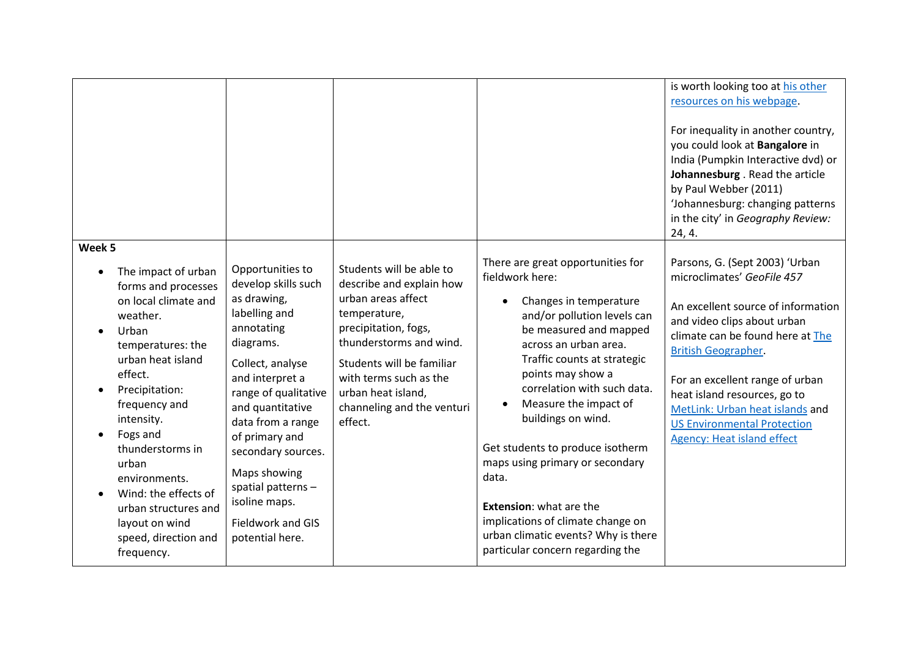|                                                                                                                                                                                                                                                                                                                                                                           |                                                                                                                                                                                                                                                                                                                                                  |                                                                                                                                                                                                                                                                     |                                                                                                                                                                                                                                                                                                                                                                                                                                                                                                                               | is worth looking too at his other<br>resources on his webpage.<br>For inequality in another country,<br>you could look at Bangalore in<br>India (Pumpkin Interactive dvd) or<br>Johannesburg . Read the article<br>by Paul Webber (2011)<br>'Johannesburg: changing patterns<br>in the city' in Geography Review:<br>24, 4.                                                          |
|---------------------------------------------------------------------------------------------------------------------------------------------------------------------------------------------------------------------------------------------------------------------------------------------------------------------------------------------------------------------------|--------------------------------------------------------------------------------------------------------------------------------------------------------------------------------------------------------------------------------------------------------------------------------------------------------------------------------------------------|---------------------------------------------------------------------------------------------------------------------------------------------------------------------------------------------------------------------------------------------------------------------|-------------------------------------------------------------------------------------------------------------------------------------------------------------------------------------------------------------------------------------------------------------------------------------------------------------------------------------------------------------------------------------------------------------------------------------------------------------------------------------------------------------------------------|--------------------------------------------------------------------------------------------------------------------------------------------------------------------------------------------------------------------------------------------------------------------------------------------------------------------------------------------------------------------------------------|
| Week 5<br>The impact of urban<br>forms and processes<br>on local climate and<br>weather.<br>Urban<br>temperatures: the<br>urban heat island<br>effect.<br>Precipitation:<br>frequency and<br>intensity.<br>Fogs and<br>thunderstorms in<br>urban<br>environments.<br>Wind: the effects of<br>urban structures and<br>layout on wind<br>speed, direction and<br>frequency. | Opportunities to<br>develop skills such<br>as drawing,<br>labelling and<br>annotating<br>diagrams.<br>Collect, analyse<br>and interpret a<br>range of qualitative<br>and quantitative<br>data from a range<br>of primary and<br>secondary sources.<br>Maps showing<br>spatial patterns-<br>isoline maps.<br>Fieldwork and GIS<br>potential here. | Students will be able to<br>describe and explain how<br>urban areas affect<br>temperature,<br>precipitation, fogs,<br>thunderstorms and wind.<br>Students will be familiar<br>with terms such as the<br>urban heat island,<br>channeling and the venturi<br>effect. | There are great opportunities for<br>fieldwork here:<br>Changes in temperature<br>and/or pollution levels can<br>be measured and mapped<br>across an urban area.<br>Traffic counts at strategic<br>points may show a<br>correlation with such data.<br>Measure the impact of<br>buildings on wind.<br>Get students to produce isotherm<br>maps using primary or secondary<br>data.<br>Extension: what are the<br>implications of climate change on<br>urban climatic events? Why is there<br>particular concern regarding the | Parsons, G. (Sept 2003) 'Urban<br>microclimates' GeoFile 457<br>An excellent source of information<br>and video clips about urban<br>climate can be found here at The<br><b>British Geographer.</b><br>For an excellent range of urban<br>heat island resources, go to<br>MetLink: Urban heat islands and<br><b>US Environmental Protection</b><br><b>Agency: Heat island effect</b> |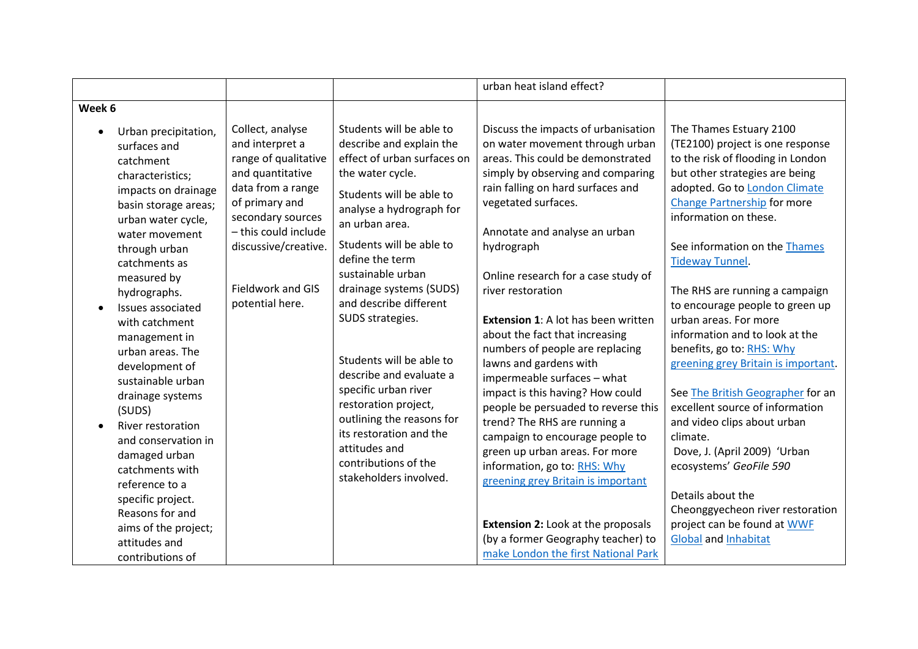|                                                                                                                                                                                                                                                                                                                                                                                                                                                                                                                                                                                       |                                                                                                                                                                                                                                            |                                                                                                                                                                                                                                                                                                                                                                                                                                                                                                                                                                  | urban heat island effect?                                                                                                                                                                                                                                                                                                                                                                                                                                                                                                                                                                                                                                                                                                                                                                                                                                                           |                                                                                                                                                                                                                                                                                                                                                                                                                                                                                                                                                                                                                                                                                                                                                                                                        |
|---------------------------------------------------------------------------------------------------------------------------------------------------------------------------------------------------------------------------------------------------------------------------------------------------------------------------------------------------------------------------------------------------------------------------------------------------------------------------------------------------------------------------------------------------------------------------------------|--------------------------------------------------------------------------------------------------------------------------------------------------------------------------------------------------------------------------------------------|------------------------------------------------------------------------------------------------------------------------------------------------------------------------------------------------------------------------------------------------------------------------------------------------------------------------------------------------------------------------------------------------------------------------------------------------------------------------------------------------------------------------------------------------------------------|-------------------------------------------------------------------------------------------------------------------------------------------------------------------------------------------------------------------------------------------------------------------------------------------------------------------------------------------------------------------------------------------------------------------------------------------------------------------------------------------------------------------------------------------------------------------------------------------------------------------------------------------------------------------------------------------------------------------------------------------------------------------------------------------------------------------------------------------------------------------------------------|--------------------------------------------------------------------------------------------------------------------------------------------------------------------------------------------------------------------------------------------------------------------------------------------------------------------------------------------------------------------------------------------------------------------------------------------------------------------------------------------------------------------------------------------------------------------------------------------------------------------------------------------------------------------------------------------------------------------------------------------------------------------------------------------------------|
| Week 6                                                                                                                                                                                                                                                                                                                                                                                                                                                                                                                                                                                |                                                                                                                                                                                                                                            |                                                                                                                                                                                                                                                                                                                                                                                                                                                                                                                                                                  |                                                                                                                                                                                                                                                                                                                                                                                                                                                                                                                                                                                                                                                                                                                                                                                                                                                                                     |                                                                                                                                                                                                                                                                                                                                                                                                                                                                                                                                                                                                                                                                                                                                                                                                        |
| Urban precipitation,<br>surfaces and<br>catchment<br>characteristics;<br>impacts on drainage<br>basin storage areas;<br>urban water cycle,<br>water movement<br>through urban<br>catchments as<br>measured by<br>hydrographs.<br>Issues associated<br>with catchment<br>management in<br>urban areas. The<br>development of<br>sustainable urban<br>drainage systems<br>(SUDS)<br>River restoration<br>and conservation in<br>damaged urban<br>catchments with<br>reference to a<br>specific project.<br>Reasons for and<br>aims of the project;<br>attitudes and<br>contributions of | Collect, analyse<br>and interpret a<br>range of qualitative<br>and quantitative<br>data from a range<br>of primary and<br>secondary sources<br>- this could include<br>discussive/creative.<br><b>Fieldwork and GIS</b><br>potential here. | Students will be able to<br>describe and explain the<br>effect of urban surfaces on<br>the water cycle.<br>Students will be able to<br>analyse a hydrograph for<br>an urban area.<br>Students will be able to<br>define the term<br>sustainable urban<br>drainage systems (SUDS)<br>and describe different<br>SUDS strategies.<br>Students will be able to<br>describe and evaluate a<br>specific urban river<br>restoration project,<br>outlining the reasons for<br>its restoration and the<br>attitudes and<br>contributions of the<br>stakeholders involved. | Discuss the impacts of urbanisation<br>on water movement through urban<br>areas. This could be demonstrated<br>simply by observing and comparing<br>rain falling on hard surfaces and<br>vegetated surfaces.<br>Annotate and analyse an urban<br>hydrograph<br>Online research for a case study of<br>river restoration<br><b>Extension 1:</b> A lot has been written<br>about the fact that increasing<br>numbers of people are replacing<br>lawns and gardens with<br>impermeable surfaces - what<br>impact is this having? How could<br>people be persuaded to reverse this<br>trend? The RHS are running a<br>campaign to encourage people to<br>green up urban areas. For more<br>information, go to: RHS: Why<br>greening grey Britain is important<br><b>Extension 2: Look at the proposals</b><br>(by a former Geography teacher) to<br>make London the first National Park | The Thames Estuary 2100<br>(TE2100) project is one response<br>to the risk of flooding in London<br>but other strategies are being<br>adopted. Go to London Climate<br><b>Change Partnership for more</b><br>information on these.<br>See information on the Thames<br><b>Tideway Tunnel.</b><br>The RHS are running a campaign<br>to encourage people to green up<br>urban areas. For more<br>information and to look at the<br>benefits, go to: RHS: Why<br>greening grey Britain is important.<br>See The British Geographer for an<br>excellent source of information<br>and video clips about urban<br>climate.<br>Dove, J. (April 2009) 'Urban<br>ecosystems' GeoFile 590<br>Details about the<br>Cheonggyecheon river restoration<br>project can be found at WWF<br><b>Global and Inhabitat</b> |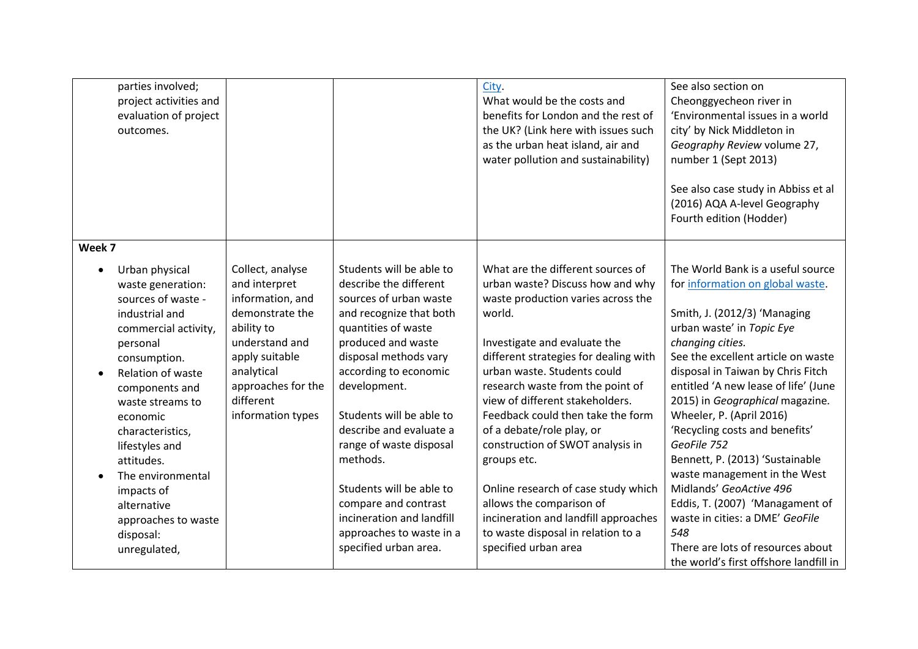| parties involved;<br>outcomes.                                                                                                                               | project activities and<br>evaluation of project                                                                               |                                                                                                                                                                                                  |                                                                                                                                                                                                                                                                                                                                                  | City.<br>What would be the costs and<br>benefits for London and the rest of<br>the UK? (Link here with issues such<br>as the urban heat island, air and<br>water pollution and sustainability)                                                                                                                                                                                                                                                                   | See also section on<br>Cheonggyecheon river in<br>'Environmental issues in a world<br>city' by Nick Middleton in<br>Geography Review volume 27,<br>number 1 (Sept 2013)<br>See also case study in Abbiss et al<br>(2016) AQA A-level Geography<br>Fourth edition (Hodder)                                                                                                                                                                                                               |
|--------------------------------------------------------------------------------------------------------------------------------------------------------------|-------------------------------------------------------------------------------------------------------------------------------|--------------------------------------------------------------------------------------------------------------------------------------------------------------------------------------------------|--------------------------------------------------------------------------------------------------------------------------------------------------------------------------------------------------------------------------------------------------------------------------------------------------------------------------------------------------|------------------------------------------------------------------------------------------------------------------------------------------------------------------------------------------------------------------------------------------------------------------------------------------------------------------------------------------------------------------------------------------------------------------------------------------------------------------|-----------------------------------------------------------------------------------------------------------------------------------------------------------------------------------------------------------------------------------------------------------------------------------------------------------------------------------------------------------------------------------------------------------------------------------------------------------------------------------------|
| Week 7                                                                                                                                                       |                                                                                                                               |                                                                                                                                                                                                  |                                                                                                                                                                                                                                                                                                                                                  |                                                                                                                                                                                                                                                                                                                                                                                                                                                                  |                                                                                                                                                                                                                                                                                                                                                                                                                                                                                         |
| Urban physical<br>industrial and<br>personal<br>consumption.<br>components and<br>economic<br>characteristics,<br>lifestyles and<br>attitudes.<br>impacts of | waste generation:<br>sources of waste -<br>commercial activity,<br>Relation of waste<br>waste streams to<br>The environmental | Collect, analyse<br>and interpret<br>information, and<br>demonstrate the<br>ability to<br>understand and<br>apply suitable<br>analytical<br>approaches for the<br>different<br>information types | Students will be able to<br>describe the different<br>sources of urban waste<br>and recognize that both<br>quantities of waste<br>produced and waste<br>disposal methods vary<br>according to economic<br>development.<br>Students will be able to<br>describe and evaluate a<br>range of waste disposal<br>methods.<br>Students will be able to | What are the different sources of<br>urban waste? Discuss how and why<br>waste production varies across the<br>world.<br>Investigate and evaluate the<br>different strategies for dealing with<br>urban waste. Students could<br>research waste from the point of<br>view of different stakeholders.<br>Feedback could then take the form<br>of a debate/role play, or<br>construction of SWOT analysis in<br>groups etc.<br>Online research of case study which | The World Bank is a useful source<br>for information on global waste.<br>Smith, J. (2012/3) 'Managing<br>urban waste' in Topic Eye<br>changing cities.<br>See the excellent article on waste<br>disposal in Taiwan by Chris Fitch<br>entitled 'A new lease of life' (June<br>2015) in Geographical magazine.<br>Wheeler, P. (April 2016)<br>'Recycling costs and benefits'<br>GeoFile 752<br>Bennett, P. (2013) 'Sustainable<br>waste management in the West<br>Midlands' GeoActive 496 |
| alternative                                                                                                                                                  |                                                                                                                               |                                                                                                                                                                                                  | compare and contrast                                                                                                                                                                                                                                                                                                                             | allows the comparison of                                                                                                                                                                                                                                                                                                                                                                                                                                         | Eddis, T. (2007) 'Managament of                                                                                                                                                                                                                                                                                                                                                                                                                                                         |
|                                                                                                                                                              | approaches to waste                                                                                                           |                                                                                                                                                                                                  | incineration and landfill                                                                                                                                                                                                                                                                                                                        | incineration and landfill approaches<br>to waste disposal in relation to a                                                                                                                                                                                                                                                                                                                                                                                       | waste in cities: a DME' GeoFile<br>548                                                                                                                                                                                                                                                                                                                                                                                                                                                  |
| disposal:                                                                                                                                                    |                                                                                                                               |                                                                                                                                                                                                  | approaches to waste in a<br>specified urban area.                                                                                                                                                                                                                                                                                                | specified urban area                                                                                                                                                                                                                                                                                                                                                                                                                                             | There are lots of resources about                                                                                                                                                                                                                                                                                                                                                                                                                                                       |
| unregulated,                                                                                                                                                 |                                                                                                                               |                                                                                                                                                                                                  |                                                                                                                                                                                                                                                                                                                                                  |                                                                                                                                                                                                                                                                                                                                                                                                                                                                  | the world's first offshore landfill in                                                                                                                                                                                                                                                                                                                                                                                                                                                  |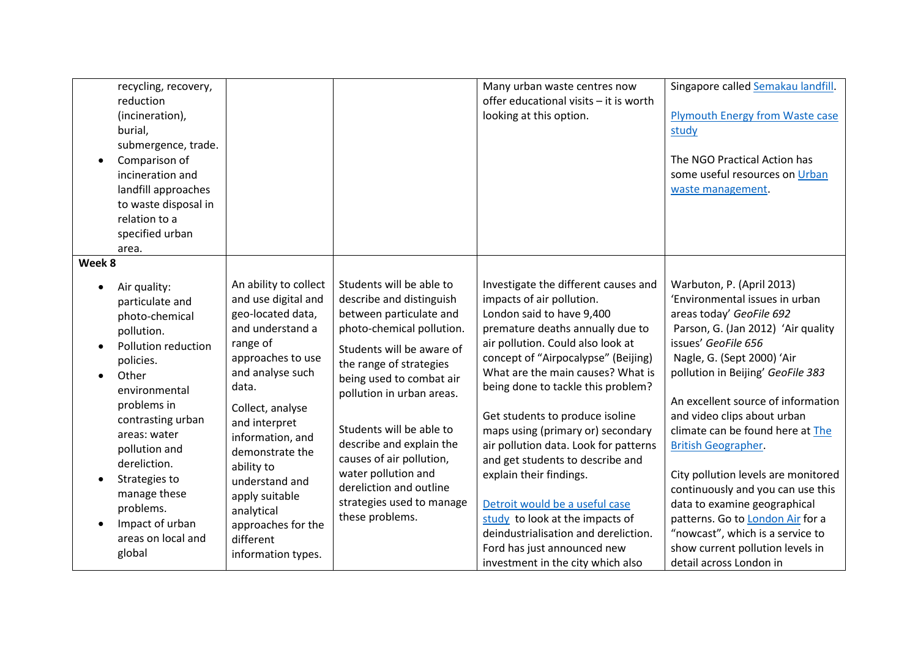|                                  | recycling, recovery,<br>reduction<br>(incineration),<br>burial,<br>submergence, trade.<br>Comparison of<br>incineration and<br>landfill approaches<br>to waste disposal in<br>relation to a<br>specified urban<br>area.                                                                                             |                                                                                                                                                                                                                                                                                                                                                          |                                                                                                                                                                                                                                                                                                                                                                                                                     | Many urban waste centres now<br>offer educational visits - it is worth<br>looking at this option.                                                                                                                                                                                                                                                                                                                                                                                                                                                                                                                                                          | Singapore called Semakau landfill.<br><b>Plymouth Energy from Waste case</b><br>study<br>The NGO Practical Action has<br>some useful resources on Urban<br>waste management.                                                                                                                                                                                                                                                                                                                                                                                                                                       |
|----------------------------------|---------------------------------------------------------------------------------------------------------------------------------------------------------------------------------------------------------------------------------------------------------------------------------------------------------------------|----------------------------------------------------------------------------------------------------------------------------------------------------------------------------------------------------------------------------------------------------------------------------------------------------------------------------------------------------------|---------------------------------------------------------------------------------------------------------------------------------------------------------------------------------------------------------------------------------------------------------------------------------------------------------------------------------------------------------------------------------------------------------------------|------------------------------------------------------------------------------------------------------------------------------------------------------------------------------------------------------------------------------------------------------------------------------------------------------------------------------------------------------------------------------------------------------------------------------------------------------------------------------------------------------------------------------------------------------------------------------------------------------------------------------------------------------------|--------------------------------------------------------------------------------------------------------------------------------------------------------------------------------------------------------------------------------------------------------------------------------------------------------------------------------------------------------------------------------------------------------------------------------------------------------------------------------------------------------------------------------------------------------------------------------------------------------------------|
| Week 8<br>$\bullet$<br>$\bullet$ | Air quality:<br>particulate and<br>photo-chemical<br>pollution.<br>Pollution reduction<br>policies.<br>Other<br>environmental<br>problems in<br>contrasting urban<br>areas: water<br>pollution and<br>dereliction.<br>Strategies to<br>manage these<br>problems.<br>Impact of urban<br>areas on local and<br>global | An ability to collect<br>and use digital and<br>geo-located data,<br>and understand a<br>range of<br>approaches to use<br>and analyse such<br>data.<br>Collect, analyse<br>and interpret<br>information, and<br>demonstrate the<br>ability to<br>understand and<br>apply suitable<br>analytical<br>approaches for the<br>different<br>information types. | Students will be able to<br>describe and distinguish<br>between particulate and<br>photo-chemical pollution.<br>Students will be aware of<br>the range of strategies<br>being used to combat air<br>pollution in urban areas.<br>Students will be able to<br>describe and explain the<br>causes of air pollution,<br>water pollution and<br>dereliction and outline<br>strategies used to manage<br>these problems. | Investigate the different causes and<br>impacts of air pollution.<br>London said to have 9,400<br>premature deaths annually due to<br>air pollution. Could also look at<br>concept of "Airpocalypse" (Beijing)<br>What are the main causes? What is<br>being done to tackle this problem?<br>Get students to produce isoline<br>maps using (primary or) secondary<br>air pollution data. Look for patterns<br>and get students to describe and<br>explain their findings.<br>Detroit would be a useful case<br>study to look at the impacts of<br>deindustrialisation and dereliction.<br>Ford has just announced new<br>investment in the city which also | Warbuton, P. (April 2013)<br>'Environmental issues in urban<br>areas today' GeoFile 692<br>Parson, G. (Jan 2012) 'Air quality<br>issues' GeoFile 656<br>Nagle, G. (Sept 2000) 'Air<br>pollution in Beijing' GeoFile 383<br>An excellent source of information<br>and video clips about urban<br>climate can be found here at The<br><b>British Geographer</b> .<br>City pollution levels are monitored<br>continuously and you can use this<br>data to examine geographical<br>patterns. Go to London Air for a<br>"nowcast", which is a service to<br>show current pollution levels in<br>detail across London in |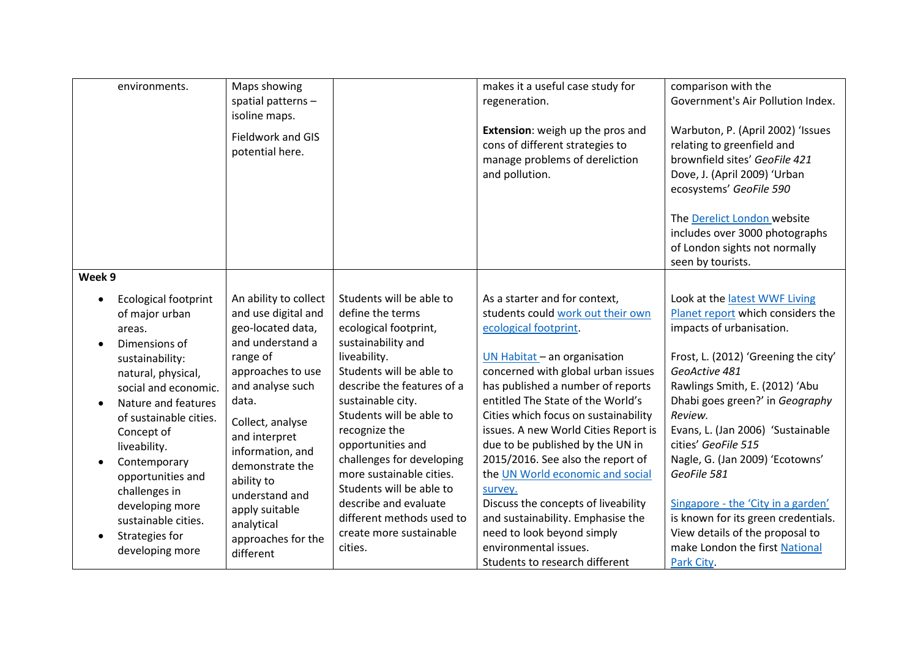| environments.                                                                                                                                                                                                                                                                                                                                                 | Maps showing<br>spatial patterns-<br>isoline maps.<br>Fieldwork and GIS<br>potential here.                                                                                                                                                                                                                                         |                                                                                                                                                                                                                                                                                                                                                                                                                                               | makes it a useful case study for<br>regeneration.<br>Extension: weigh up the pros and<br>cons of different strategies to<br>manage problems of dereliction<br>and pollution.                                                                                                                                                                                                                                                                                                                                                                                                                                             | comparison with the<br>Government's Air Pollution Index.<br>Warbuton, P. (April 2002) 'Issues<br>relating to greenfield and<br>brownfield sites' GeoFile 421<br>Dove, J. (April 2009) 'Urban<br>ecosystems' GeoFile 590                                                                                                                                                                                                                                                                                               |
|---------------------------------------------------------------------------------------------------------------------------------------------------------------------------------------------------------------------------------------------------------------------------------------------------------------------------------------------------------------|------------------------------------------------------------------------------------------------------------------------------------------------------------------------------------------------------------------------------------------------------------------------------------------------------------------------------------|-----------------------------------------------------------------------------------------------------------------------------------------------------------------------------------------------------------------------------------------------------------------------------------------------------------------------------------------------------------------------------------------------------------------------------------------------|--------------------------------------------------------------------------------------------------------------------------------------------------------------------------------------------------------------------------------------------------------------------------------------------------------------------------------------------------------------------------------------------------------------------------------------------------------------------------------------------------------------------------------------------------------------------------------------------------------------------------|-----------------------------------------------------------------------------------------------------------------------------------------------------------------------------------------------------------------------------------------------------------------------------------------------------------------------------------------------------------------------------------------------------------------------------------------------------------------------------------------------------------------------|
|                                                                                                                                                                                                                                                                                                                                                               |                                                                                                                                                                                                                                                                                                                                    |                                                                                                                                                                                                                                                                                                                                                                                                                                               |                                                                                                                                                                                                                                                                                                                                                                                                                                                                                                                                                                                                                          | The Derelict London website<br>includes over 3000 photographs<br>of London sights not normally<br>seen by tourists.                                                                                                                                                                                                                                                                                                                                                                                                   |
| Week 9                                                                                                                                                                                                                                                                                                                                                        |                                                                                                                                                                                                                                                                                                                                    |                                                                                                                                                                                                                                                                                                                                                                                                                                               |                                                                                                                                                                                                                                                                                                                                                                                                                                                                                                                                                                                                                          |                                                                                                                                                                                                                                                                                                                                                                                                                                                                                                                       |
| <b>Ecological footprint</b><br>of major urban<br>areas.<br>Dimensions of<br>sustainability:<br>natural, physical,<br>social and economic.<br>Nature and features<br>of sustainable cities.<br>Concept of<br>liveability.<br>Contemporary<br>opportunities and<br>challenges in<br>developing more<br>sustainable cities.<br>Strategies for<br>developing more | An ability to collect<br>and use digital and<br>geo-located data,<br>and understand a<br>range of<br>approaches to use<br>and analyse such<br>data.<br>Collect, analyse<br>and interpret<br>information, and<br>demonstrate the<br>ability to<br>understand and<br>apply suitable<br>analytical<br>approaches for the<br>different | Students will be able to<br>define the terms<br>ecological footprint,<br>sustainability and<br>liveability.<br>Students will be able to<br>describe the features of a<br>sustainable city.<br>Students will be able to<br>recognize the<br>opportunities and<br>challenges for developing<br>more sustainable cities.<br>Students will be able to<br>describe and evaluate<br>different methods used to<br>create more sustainable<br>cities. | As a starter and for context,<br>students could work out their own<br>ecological footprint.<br>UN Habitat - an organisation<br>concerned with global urban issues<br>has published a number of reports<br>entitled The State of the World's<br>Cities which focus on sustainability<br>issues. A new World Cities Report is<br>due to be published by the UN in<br>2015/2016. See also the report of<br>the UN World economic and social<br>survey.<br>Discuss the concepts of liveability<br>and sustainability. Emphasise the<br>need to look beyond simply<br>environmental issues.<br>Students to research different | Look at the latest WWF Living<br>Planet report which considers the<br>impacts of urbanisation.<br>Frost, L. (2012) 'Greening the city'<br>GeoActive 481<br>Rawlings Smith, E. (2012) 'Abu<br>Dhabi goes green?' in Geography<br>Review.<br>Evans, L. (Jan 2006) 'Sustainable<br>cities' GeoFile 515<br>Nagle, G. (Jan 2009) 'Ecotowns'<br>GeoFile 581<br>Singapore - the 'City in a garden'<br>is known for its green credentials.<br>View details of the proposal to<br>make London the first National<br>Park City. |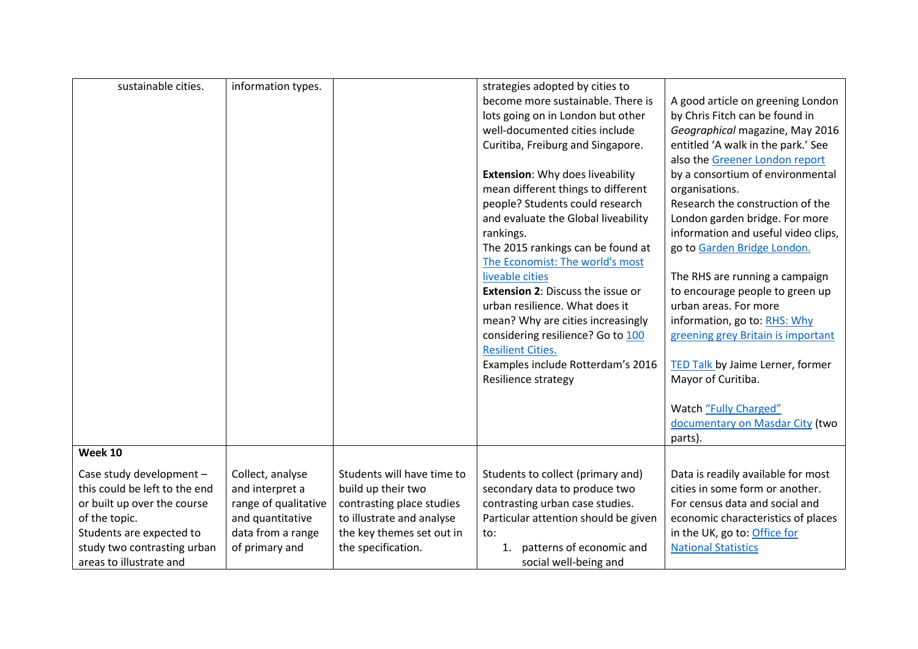| A good article on greening London                                                                                                                                                                                                                                       |
|-------------------------------------------------------------------------------------------------------------------------------------------------------------------------------------------------------------------------------------------------------------------------|
|                                                                                                                                                                                                                                                                         |
| by Chris Fitch can be found in                                                                                                                                                                                                                                          |
| Geographical magazine, May 2016                                                                                                                                                                                                                                         |
| entitled 'A walk in the park.' See                                                                                                                                                                                                                                      |
|                                                                                                                                                                                                                                                                         |
| by a consortium of environmental                                                                                                                                                                                                                                        |
|                                                                                                                                                                                                                                                                         |
|                                                                                                                                                                                                                                                                         |
|                                                                                                                                                                                                                                                                         |
|                                                                                                                                                                                                                                                                         |
| information and useful video clips,                                                                                                                                                                                                                                     |
|                                                                                                                                                                                                                                                                         |
|                                                                                                                                                                                                                                                                         |
|                                                                                                                                                                                                                                                                         |
| to encourage people to green up                                                                                                                                                                                                                                         |
|                                                                                                                                                                                                                                                                         |
|                                                                                                                                                                                                                                                                         |
| greening grey Britain is important                                                                                                                                                                                                                                      |
|                                                                                                                                                                                                                                                                         |
| TED Talk by Jaime Lerner, former                                                                                                                                                                                                                                        |
|                                                                                                                                                                                                                                                                         |
|                                                                                                                                                                                                                                                                         |
|                                                                                                                                                                                                                                                                         |
| documentary on Masdar City (two                                                                                                                                                                                                                                         |
|                                                                                                                                                                                                                                                                         |
|                                                                                                                                                                                                                                                                         |
| Data is readily available for most                                                                                                                                                                                                                                      |
| cities in some form or another.                                                                                                                                                                                                                                         |
|                                                                                                                                                                                                                                                                         |
| economic characteristics of places                                                                                                                                                                                                                                      |
|                                                                                                                                                                                                                                                                         |
|                                                                                                                                                                                                                                                                         |
|                                                                                                                                                                                                                                                                         |
| also the Greener London report<br>Research the construction of the<br>London garden bridge. For more<br>go to Garden Bridge London.<br>The RHS are running a campaign<br>information, go to: RHS: Why<br>For census data and social and<br>in the UK, go to: Office for |